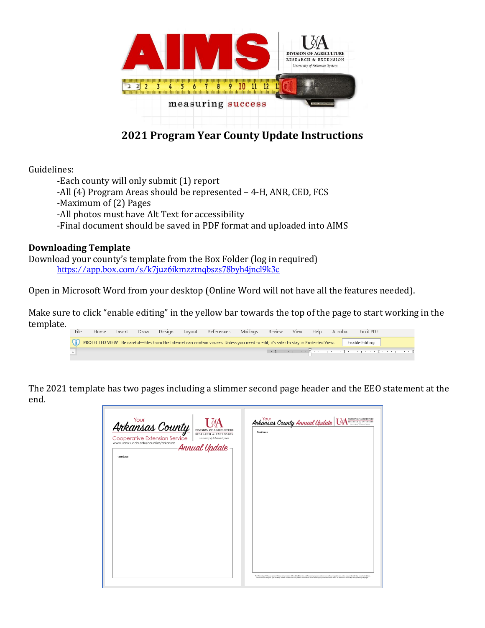

# **2021 Program Year County Update Instructions**

Guidelines:

-Each county will only submit (1) report -All (4) Program Areas should be represented – 4-H, ANR, CED, FCS -Maximum of (2) Pages -All photos must have Alt Text for accessibility -Final document should be saved in PDF format and uploaded into AIMS

### **Downloading Template**

Download your county's template from the Box Folder (log in required) <https://app.box.com/s/k7juz6ikmzztnqbszs78byh4jncl9k3c>

Open in Microsoft Word from your desktop (Online Word will not have all the features needed).

Make sure to click "enable editing" in the yellow bar towards the top of the page to start working in the template.

| File                                                                                                                                                     | Home | Insert |  | Draw Design |  | Layout References |  | Mailings Review View Help Acrobat |  |  |  | Foxit PDF                                                                                                                 |  |
|----------------------------------------------------------------------------------------------------------------------------------------------------------|------|--------|--|-------------|--|-------------------|--|-----------------------------------|--|--|--|---------------------------------------------------------------------------------------------------------------------------|--|
| (1) PROTECTED VIEW Be careful—files from the Internet can contain viruses. Unless you need to edit, it's safer to stay in Protected View. Enable Editing |      |        |  |             |  |                   |  |                                   |  |  |  |                                                                                                                           |  |
|                                                                                                                                                          |      |        |  |             |  |                   |  |                                   |  |  |  | $\lambda$ + 1 + + + + + + $\frac{\sum_{i=1}^{n} x_i}{\sum_{i=1}^{n} x_i}$ + + + + + + + + + + + + + + + 2 + + + + + + + + |  |

The 2021 template has two pages including a slimmer second page header and the EEO statement at the end.

| Ankansas County<br>Cooperative Extension Service  <br>www.uaex.uada.edu/counties/arkansas | <b>DIVISION OF AGRICULTURE</b><br><b>RESEARCH &amp; EXTENSION</b><br>University of Arkansas System<br>- Annual Update – | Text here | Ankansas County Annual Update UA ARD DESIGN OF A DESIGN OF ALL ON A DISTRICT ON ON A CONTROL OF A CONTROL OF ADDRESS ON ADDRESS ON A MODEL DUE                                                                                                                                                                                                                                               |
|-------------------------------------------------------------------------------------------|-------------------------------------------------------------------------------------------------------------------------|-----------|----------------------------------------------------------------------------------------------------------------------------------------------------------------------------------------------------------------------------------------------------------------------------------------------------------------------------------------------------------------------------------------------|
| Text here                                                                                 |                                                                                                                         |           |                                                                                                                                                                                                                                                                                                                                                                                              |
|                                                                                           |                                                                                                                         |           |                                                                                                                                                                                                                                                                                                                                                                                              |
|                                                                                           |                                                                                                                         |           |                                                                                                                                                                                                                                                                                                                                                                                              |
|                                                                                           |                                                                                                                         |           |                                                                                                                                                                                                                                                                                                                                                                                              |
|                                                                                           |                                                                                                                         |           |                                                                                                                                                                                                                                                                                                                                                                                              |
|                                                                                           |                                                                                                                         |           |                                                                                                                                                                                                                                                                                                                                                                                              |
|                                                                                           |                                                                                                                         |           |                                                                                                                                                                                                                                                                                                                                                                                              |
|                                                                                           |                                                                                                                         |           |                                                                                                                                                                                                                                                                                                                                                                                              |
|                                                                                           |                                                                                                                         |           |                                                                                                                                                                                                                                                                                                                                                                                              |
|                                                                                           |                                                                                                                         |           | The University of Arkansas System Division of Agriculture offen all its Extension and Research programs and services without regard to race, color, sec, quester identity, sexual orientation,<br>national origin, religion, age, disability, markal or veteran status, genetic information, or any other legally protected status, and is an Affermative Action/Equal Opportunity Employer. |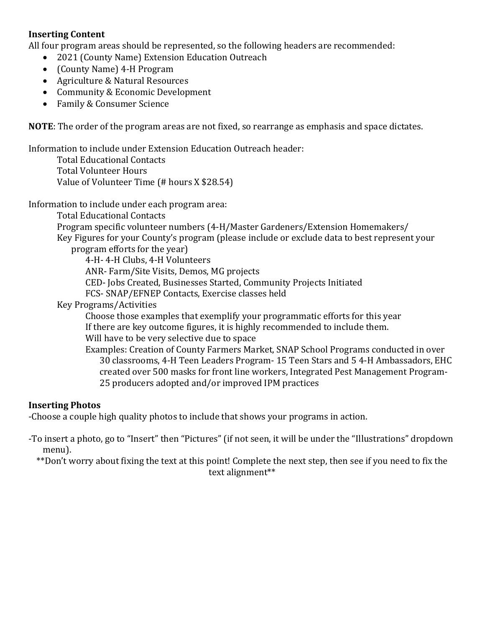### **Inserting Content**

All four program areas should be represented, so the following headers are recommended:

- 2021 (County Name) Extension Education Outreach
- (County Name) 4-H Program
- Agriculture & Natural Resources
- Community & Economic Development
- Family & Consumer Science

**NOTE**: The order of the program areas are not fixed, so rearrange as emphasis and space dictates.

Information to include under Extension Education Outreach header:

Total Educational Contacts Total Volunteer Hours Value of Volunteer Time (# hours X \$28.54)

Information to include under each program area:

Total Educational Contacts Program specific volunteer numbers (4-H/Master Gardeners/Extension Homemakers/ Key Figures for your County's program (please include or exclude data to best represent your program efforts for the year) 4-H- 4-H Clubs, 4-H Volunteers ANR- Farm/Site Visits, Demos, MG projects CED- Jobs Created, Businesses Started, Community Projects Initiated FCS- SNAP/EFNEP Contacts, Exercise classes held Key Programs/Activities Choose those examples that exemplify your programmatic efforts for this year If there are key outcome figures, it is highly recommended to include them.

Will have to be very selective due to space

Examples: Creation of County Farmers Market, SNAP School Programs conducted in over 30 classrooms, 4-H Teen Leaders Program- 15 Teen Stars and 5 4-H Ambassadors, EHC created over 500 masks for front line workers, Integrated Pest Management Program-25 producers adopted and/or improved IPM practices

#### **Inserting Photos**

-Choose a couple high quality photos to include that shows your programs in action.

-To insert a photo, go to "Insert" then "Pictures" (if not seen, it will be under the "Illustrations" dropdown menu).

\*\*Don't worry about fixing the text at this point! Complete the next step, then see if you need to fix the text alignment\*\*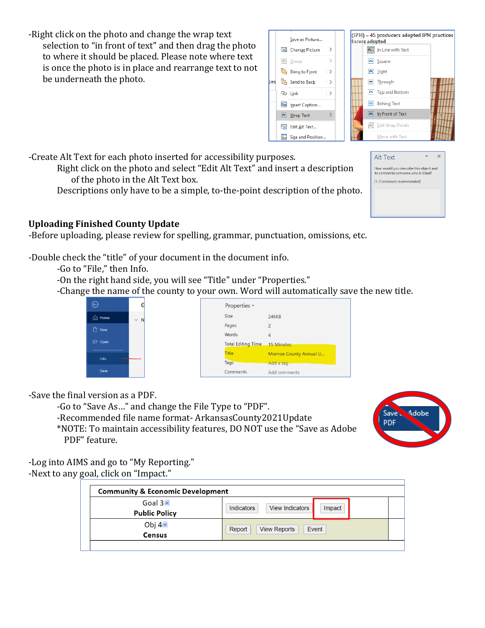-Right click on the photo and change the wrap text selection to "in front of text" and then drag the photo to where it should be placed. Please note where text is once the photo is in place and rearrange text to not be underneath the photo.



Alt Text

How would you describe this object and its context to someone who is blind? (1-2 sentences recommended)

-Create Alt Text for each photo inserted for accessibility purposes.

Right click on the photo and select "Edit Alt Text" and insert a description of the photo in the Alt Text box.

Descriptions only have to be a simple, to-the-point description of the photo.

## **Uploading Finished County Update**

-Before uploading, please review for spelling, grammar, punctuation, omissions, etc.

-Double check the "title" of your document in the document info.

-Go to "File," then Info.

-On the right hand side, you will see "Title" under "Properties."

-Change the name of the county to your own. Word will automatically save the new title.



-Save the final version as a PDF.

-Go to "Save As…" and change the File Type to "PDF".

-Recommended file name format- ArkansasCounty2021Update

\*NOTE: To maintain accessibility features, DO NOT use the "Save as Adobe PDF" feature.



 $\propto$ 

 $\mathbf{w}$  .

-Log into AIMS and go to "My Reporting." -Next to any goal, click on "Impact."

| <b>Community &amp; Economic Development</b> |                                         |  |  |  |  |  |
|---------------------------------------------|-----------------------------------------|--|--|--|--|--|
| Goal $3 -$<br><b>Public Policy</b>          | View Indicators<br>Indicators<br>Impact |  |  |  |  |  |
| Obj $4-$<br><b>Census</b>                   | Report<br>Event<br><b>View Reports</b>  |  |  |  |  |  |